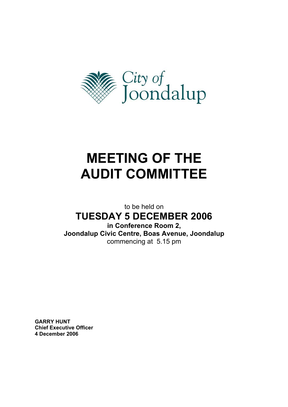

# **MEETING OF THE AUDIT COMMITTEE**

to be held on

**TUESDAY 5 DECEMBER 2006** 

**in Conference Room 2,** 

**Joondalup Civic Centre, Boas Avenue, Joondalup**  commencing at 5.15 pm

**GARRY HUNT Chief Executive Officer 4 December 2006**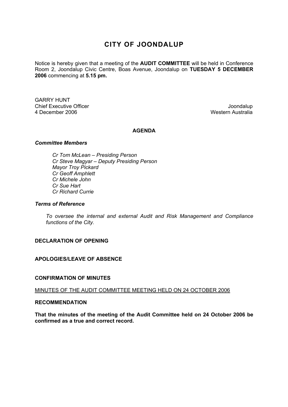# **CITY OF JOONDALUP**

Notice is hereby given that a meeting of the **AUDIT COMMITTEE** will be held in Conference Room 2, Joondalup Civic Centre, Boas Avenue, Joondalup on **TUESDAY 5 DECEMBER 2006** commencing at **5.15 pm.** 

GARRY HUNT Chief Executive Officer  $\Box$  Joondalup Joondalup 4 December 2006 Western Australia

# **AGENDA**

#### *Committee Members*

 *Cr Tom McLean – Presiding Person Cr Steve Magyar – Deputy Presiding Person Mayor Troy Pickard Cr Geoff Amphlett Cr Michele John Cr Sue Hart Cr Richard Currie* 

#### *Terms of Reference*

*To oversee the internal and external Audit and Risk Management and Compliance functions of the City.* 

# **DECLARATION OF OPENING**

# **APOLOGIES/LEAVE OF ABSENCE**

#### **CONFIRMATION OF MINUTES**

#### MINUTES OF THE AUDIT COMMITTEE MEETING HELD ON 24 OCTOBER 2006

#### **RECOMMENDATION**

**That the minutes of the meeting of the Audit Committee held on 24 October 2006 be confirmed as a true and correct record.**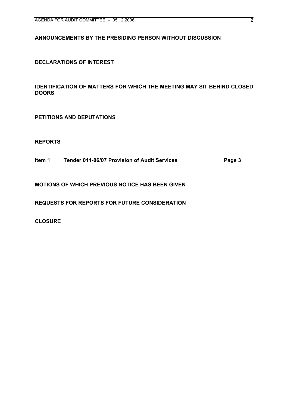# **ANNOUNCEMENTS BY THE PRESIDING PERSON WITHOUT DISCUSSION**

**DECLARATIONS OF INTEREST** 

**IDENTIFICATION OF MATTERS FOR WHICH THE MEETING MAY SIT BEHIND CLOSED DOORS** 

**PETITIONS AND DEPUTATIONS** 

**REPORTS** 

**Item 1 Tender 011-06/07 Provision of Audit Services Page 3** 

**MOTIONS OF WHICH PREVIOUS NOTICE HAS BEEN GIVEN** 

**REQUESTS FOR REPORTS FOR FUTURE CONSIDERATION** 

**CLOSURE**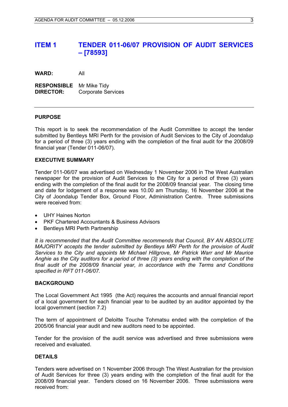# **ITEM 1 TENDER 011-06/07 PROVISION OF AUDIT SERVICES – [78593]**

**WARD:** All

**RESPONSIBLE** Mr Mike Tidy **DIRECTOR:** Corporate Services

#### **PURPOSE**

This report is to seek the recommendation of the Audit Committee to accept the tender submitted by Bentleys MRI Perth for the provision of Audit Services to the City of Joondalup for a period of three (3) years ending with the completion of the final audit for the 2008/09 financial year (Tender 011-06/07).

#### **EXECUTIVE SUMMARY**

Tender 011-06/07 was advertised on Wednesday 1 November 2006 in The West Australian newspaper for the provision of Audit Services to the City for a period of three (3) years ending with the completion of the final audit for the 2008/09 financial year. The closing time and date for lodgement of a response was 10.00 am Thursday, 16 November 2006 at the City of Joondalup Tender Box, Ground Floor, Administration Centre. Three submissions were received from:

- UHY Haines Norton
- PKF Chartered Accountants & Business Advisors
- Bentleys MRI Perth Partnership

*It is recommended that the Audit Committee recommends that Council, BY AN ABSOLUTE MAJORITY accepts the tender submitted by Bentleys MRI Perth for the provision of Audit Services to the City and appoints Mr Michael Hillgrove, Mr Patrick Warr and Mr Maurice Anghie as the City auditors for a period of three (3) years ending with the completion of the final audit of the 2008/09 financial year, in accordance with the Terms and Conditions specified in RFT 011-06/07.*

#### **BACKGROUND**

The Local Government Act 1995 (the Act) requires the accounts and annual financial report of a local government for each financial year to be audited by an auditor appointed by the local government (section 7.2)

The term of appointment of Deloitte Touche Tohmatsu ended with the completion of the 2005/06 financial year audit and new auditors need to be appointed.

Tender for the provision of the audit service was advertised and three submissions were received and evaluated.

#### **DETAILS**

Tenders were advertised on 1 November 2006 through The West Australian for the provision of Audit Services for three (3) years ending with the completion of the final audit for the 2008/09 financial year. Tenders closed on 16 November 2006. Three submissions were received from: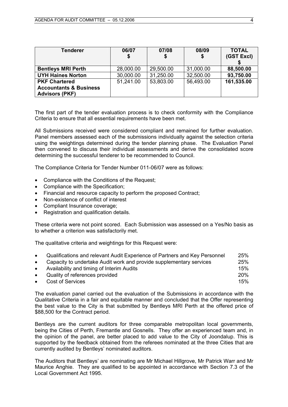| Tenderer                                                   | 06/07     | 07/08     | 08/09     | <b>TOTAL</b> |
|------------------------------------------------------------|-----------|-----------|-----------|--------------|
|                                                            | \$        | \$        | S         | (GST Excl)   |
|                                                            |           |           |           |              |
| <b>Bentleys MRI Perth</b>                                  | 28,000.00 | 29,500.00 | 31,000.00 | 88,500.00    |
| <b>UYH Haines Norton</b>                                   | 30,000.00 | 31,250.00 | 32,500.00 | 93,750.00    |
| <b>PKF Chartered</b>                                       | 51,241.00 | 53,803.00 | 56,493.00 | 161,535.00   |
| <b>Accountants &amp; Business</b><br><b>Advisors (PKF)</b> |           |           |           |              |

The first part of the tender evaluation process is to check conformity with the Compliance Criteria to ensure that all essential requirements have been met.

All Submissions received were considered compliant and remained for further evaluation. Panel members assessed each of the submissions individually against the selection criteria using the weightings determined during the tender planning phase. The Evaluation Panel then convened to discuss their individual assessments and derive the consolidated score determining the successful tenderer to be recommended to Council.

The Compliance Criteria for Tender Number 011-06/07 were as follows:

- Compliance with the Conditions of the Request;
- Compliance with the Specification;
- Financial and resource capacity to perform the proposed Contract;
- Non-existence of conflict of interest
- Compliant Insurance coverage;
- Registration and qualification details.

These criteria were not point scored. Each Submission was assessed on a Yes/No basis as to whether a criterion was satisfactorily met.

The qualitative criteria and weightings for this Request were:

| $\bullet$<br>$\bullet$<br>$\bullet$ | Qualifications and relevant Audit Experience of Partners and Key Personnel<br>Capacity to undertake Audit work and provide supplementary services<br>Availability and timing of Interim Audits | 25%<br>25%<br>15% |
|-------------------------------------|------------------------------------------------------------------------------------------------------------------------------------------------------------------------------------------------|-------------------|
| $\bullet$                           | Quality of references provided                                                                                                                                                                 | 20%               |
| $\bullet$                           | <b>Cost of Services</b>                                                                                                                                                                        | 15%               |

The evaluation panel carried out the evaluation of the Submissions in accordance with the Qualitative Criteria in a fair and equitable manner and concluded that the Offer representing the best value to the City is that submitted by Bentleys MRI Perth at the offered price of \$88,500 for the Contract period.

Bentleys are the current auditors for three comparable metropolitan local governments, being the Cities of Perth, Fremantle and Gosnells. They offer an experienced team and, in the opinion of the panel, are better placed to add value to the City of Joondalup. This is supported by the feedback obtained from the referees nominated at the three Cities that are currently audited by Bentleys' nominated auditors.

The Auditors that Bentleys' are nominating are Mr Michael Hillgrove, Mr Patrick Warr and Mr Maurice Anghie. They are qualified to be appointed in accordance with Section 7.3 of the Local Government Act 1995.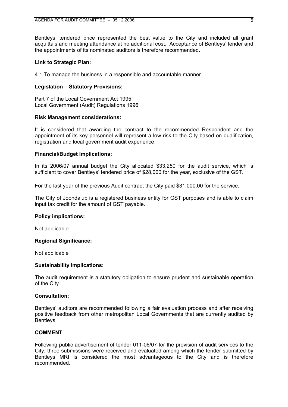Bentleys' tendered price represented the best value to the City and included all grant acquittals and meeting attendance at no additional cost. Acceptance of Bentleys' tender and the appointments of its nominated auditors is therefore recommended.

#### **Link to Strategic Plan:**

4.1 To manage the business in a responsible and accountable manner

#### **Legislation – Statutory Provisions:**

Part 7 of the Local Government Act 1995 Local Government (Audit) Regulations 1996

#### **Risk Management considerations:**

It is considered that awarding the contract to the recommended Respondent and the appointment of its key personnel will represent a low risk to the City based on qualification, registration and local government audit experience.

## **Financial/Budget Implications:**

In its 2006/07 annual budget the City allocated \$33,250 for the audit service, which is sufficient to cover Bentleys' tendered price of \$28,000 for the year, exclusive of the GST.

For the last year of the previous Audit contract the City paid \$31,000.00 for the service.

The City of Joondalup is a registered business entity for GST purposes and is able to claim input tax credit for the amount of GST payable.

#### **Policy implications:**

Not applicable

#### **Regional Significance:**

Not applicable

#### **Sustainability implications:**

The audit requirement is a statutory obligation to ensure prudent and sustainable operation of the City.

#### **Consultation:**

Bentleys' auditors are recommended following a fair evaluation process and after receiving positive feedback from other metropolitan Local Governments that are currently audited by Bentleys.

#### **COMMENT**

Following public advertisement of tender 011-06/07 for the provision of audit services to the City, three submissions were received and evaluated among which the tender submitted by Bentleys MRI is considered the most advantageous to the City and is therefore recommended.